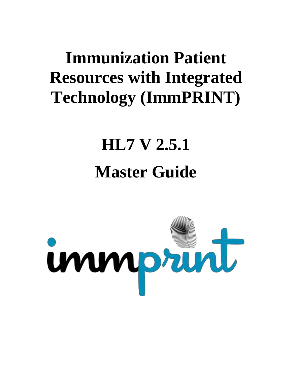# **Immunization Patient Resources with Integrated Technology (ImmPRINT)**

# **HL7 V 2.5.1 Master Guide**

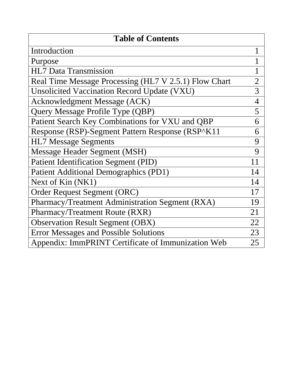| <b>Table of Contents</b>                              |                |
|-------------------------------------------------------|----------------|
| Introduction                                          | 1              |
| Purpose                                               |                |
| <b>HL7 Data Transmission</b>                          | 1              |
| Real Time Message Processing (HL7 V 2.5.1) Flow Chart | $\overline{2}$ |
| <b>Unsolicited Vaccination Record Update (VXU)</b>    | $\overline{3}$ |
| <b>Acknowledgment Message (ACK)</b>                   | $\overline{4}$ |
| Query Message Profile Type (QBP)                      | 5              |
| Patient Search Key Combinations for VXU and QBP       | 6              |
| Response (RSP)-Segment Pattern Response (RSP^K11      | 6              |
| <b>HL7 Message Segments</b>                           | 9              |
| <b>Message Header Segment (MSH)</b>                   | 9              |
| <b>Patient Identification Segment (PID)</b>           | 11             |
| <b>Patient Additional Demographics (PD1)</b>          | 14             |
| Next of Kin (NK1)                                     | 14             |
| Order Request Segment (ORC)                           | 17             |
| Pharmacy/Treatment Administration Segment (RXA)       | 19             |
| Pharmacy/Treatment Route (RXR)                        | 21             |
| <b>Observation Result Segment (OBX)</b>               | 22             |
| <b>Error Messages and Possible Solutions</b>          | 23             |
| Appendix: ImmPRINT Certificate of Immunization Web    | 25             |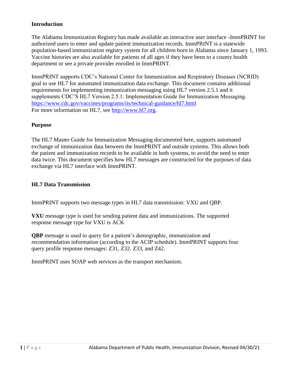# **Introduction**

The Alabama Immunization Registry has made available an interactive user interface -ImmPRINT for authorized users to enter and update patient immunization records. ImmPRINT is a statewide population-based immunization registry system for all children born in Alabama since January 1, 1993. Vaccine histories are also available for patients of all ages if they have been to a county health department or see a private provider enrolled in ImmPRINT.

ImmPRINT supports CDC's National Center for Immunization and Respiratory Diseases (NCRID) goal to use HL7 for automated immunization data exchange. This document contains additional requirements for implementing immunization messaging using HL7 version 2.5.1 and it supplements CDC'S HL7 Version 2.5.1: Implementation Guide for Immunization Messaging. http[s://ww](http://www.cdc.gov/vaccines/programs/iis/technical-guidance/hl7.html)w[.cdc.gov/vaccines/programs/iis/technical-guidance/hl7.html](http://www.cdc.gov/vaccines/programs/iis/technical-guidance/hl7.html) For more information on HL7, see [http://www.hl7.org.](http://www.hl7.org/)

#### **Purpose**

The HL7 Master Guide for Immunization Messaging documented here, supports automated exchange of immunization data between the ImmPRINT and outside systems. This allows both the patient and immunization records to be available in both systems, to avoid the need to enter data twice. This document specifies how HL7 messages are constructed for the purposes of data exchange via HL7 interface with ImmPRINT.

# **HL7 Data Transmission**

ImmPRINT supports two message types in HL7 data transmission: VXU and QBP.

**VXU** message type is used for sending patient data and immunizations. The supported response message type for VXU is ACK

**QBP** message is used to query for a patient's demographic, immunization and recommendation information (according to the ACIP schedule). ImmPRINT supports four query profile response messages: Z31, Z32. Z33, and Z42.

ImmPRINT uses SOAP web services as the transport mechanism.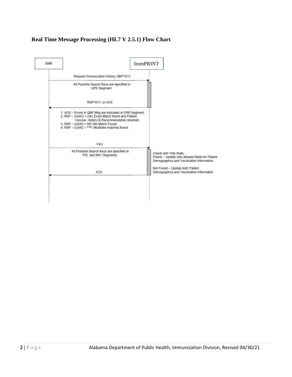#### **Real Time Message Processing (HL7 V 2.5.1) Flow Chart**

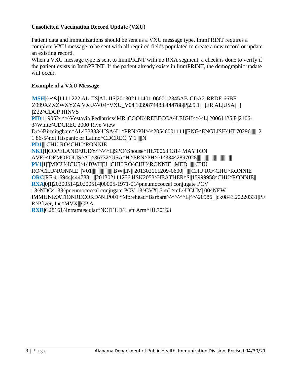# **Unsolicited Vaccination Record Update (VXU)**

Patient data and immunizations should be sent as a VXU message type. ImmPRINT requires a complete VXU message to be sent with all required fields populated to create a new record or update an existing record.

When a VXU message type is sent to ImmPRINT with no RXA segment, a check is done to verify if the patient exists in ImmPRINT. If the patient already exists in ImmPRINT, the demographic update will occur.

#### **Example of a VXU Message**

**MSH**|^~\&|1111|222|AL-IIS|AL-IIS|201302111401-0600|12345AB-CDA2-RRDF-66BF Z999XZXZWXYZA|VXU^V04^VXU\_V04|1039874483.444788|P|2.5.1| | |ER|AL|USA| | | |Z22^CDCP HINVS **PID**|1||90524^^^Vestavia Pediatrics^MR||COOK^REBECCA^LEIGH^^^^L||20061125|F||2106- 3^White^CDCREC|2000 Rive View Dr^^Birmingham^AL^33333^USA^L||^PRN^PH^^^205^6001111||ENG^ENGLISH^HL70296|||||||2 1 86-5^not Hispanic or Latino^CDCREC||Y|1|||||N **PD1**||||CHU RO^CHU^RONNIE **NK1**|1|COPELAND^JUDY^^^^^L|SPO^Spouse^HL70063|1314 MAYTON AVE^^DEMOPOLIS^AL^36732^USA^H|^PRN^PH^^1^334^2897028||||||||||||||||||||||||||||||||||| **PV1**|1|I|MICU^ICU5^1^BWH|U|||CHU RO^CHU^RONNIE|||MED|||||||CHU RO^CHU^RONNIE|||V01|||||||||||||||||||||||BW||IN|||201302111209-0600||||||||CHU RO^CHU^RONNIE **ORC**|RE|416944|444788||||||201302111256|HSK2053^HEATHER^S||15999958^CHU^RONNIE|| **RXA**|0|1|20200514|20200514|00005-1971-01^pneumococcal conjugate PCV 13^NDC^133^pneumococcal conjugate PCV 13^CVX|.5|mL^mL^UCUM||00^NEW IMMUNIZATIONRECORD^NIP001|^Morehead^Barbara^^^^^^^L|^^^20986||||ck0843|20220331|PF R^Pfizer, Inc^MVX|||CP|A **RXR**|C28161^Intramuscular^NCIT|LD^Left Arm^HL70163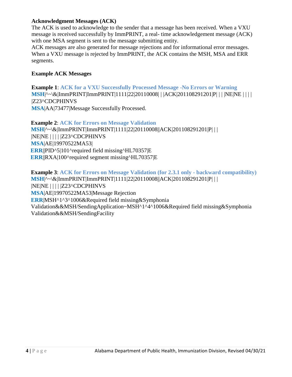# **Acknowledgment Messages (ACK)**

The ACK is used to acknowledge to the sender that a message has been received. When a VXU message is received successfully by ImmPRINT, a real- time acknowledgement message (ACK) with one MSA segment is sent to the message submitting entity.

ACK messages are also generated for message rejections and for informational error messages. When a VXU message is rejected by ImmPRINT, the ACK contains the MSH, MSA and ERR segments.

#### **Example ACK Messages**

**Example 1**: **ACK for a VXU Successfully Processed Message -No Errors or Warning MSH**|^~\&|ImmPRINT|ImmPRINT|1111|22|20110008| | |ACK|201108291201|P| | | |NE|NE | | | | |Z23^CDCPHINVS **MSA**|AA|73477|Message Successfully Processed.

**Example 2**: **ACK for Errors on Message Validation MSH**|^~\&|ImmPRINT|ImmPRINT|1111|22|20110008||ACK|201108291201|P| | | |NE|NE | | | | |Z23^CDCPHINVS **MSA**|AE|19970522MA53| **ERR**||PID^5|101^required field missing^HL70357|E **ERR**||RXA|100^required segment missing^HL70357|E

**Example 3**: **ACK for Errors on Message Validation (for 2.3.1 only - backward compatibility) MSH**|^~\&|ImmPRINT|ImmPRINT|1111|22|20110008||ACK|201108291201|P| | | |NE|NE | | | | |Z23^CDCPHINVS **MSA**|AE|19970522MA53|Message Rejection **ERR**|MSH^1^3^1006&Required field missing&Symphonia Validation&&MSH/SendingApplication~MSH^1^4^1006&Required field missing&Symphonia Validation&&MSH/SendingFacility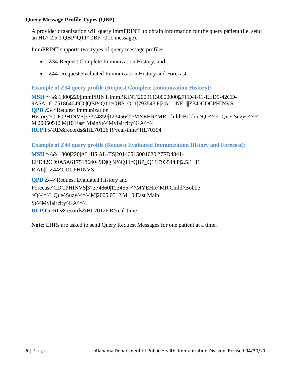# **Query Message Profile Types (QBP)**

A provider organization will query ImmPRINT to obtain information for the query patient (i.e. send an HL7 2.5.1 QBP^Q11^QBP\_Q11 message).

ImmPRINT supports two types of query message profiles:

- Z34-Request Complete Immunization History, and
- Z44- Request Evaluated Immunization History and Forecast.

**Example of Z34 query profile (Request Complete Immunization History):**

**MSH**|^~\&|1300|220|ImmPRINT|ImmPRINT|20091130000000|27FD4841-EED9-42CD-9A5A- 61751864049D |QBP^Q11^QBP\_Q11|793543|P|2.5.1|||NE|||||Z34^CDCPHINVS **QPD**|Z34^Request Immunization History^CDCPHINVS|37374859|123456^^^MYEHR^MR|Child^Bobbie^Q^^^^^L|Que^Suzy^^^^^^ M|20050512|M|10 East MainSt^^Myfaircity^GA^^^L **RCP**|I|5^RD&records&HL70126|R^real-time^HL70394

**Example of Z44 query profile (Request Evaluated Immunization History and Forecast):**

**MSH**|^~\&|1300|220|AL-IIS|AL-IIS|20140515001020|27FD4841- EED42CD9A5A61751864049D|QBP^Q11^QBP\_Q11|793544|P|2.5.1|||E R|AL|||||Z44^CDCPHINVS

**QPD**|Z44^Request Evaluated History and Forecast^CDCPHINVS|37374860|123456^^^MYEHR^MR|Child^Bobbe ^Q^^^^L|Que^Suzy^^^^^M|2005 0512|M|10 East Main St^^Myfaircity^GA^^^L **RCP**|I|5^RD&records&HL70126|R^real-time

**Note**: EHRs are asked to send Query Request Messages for one patient at a time.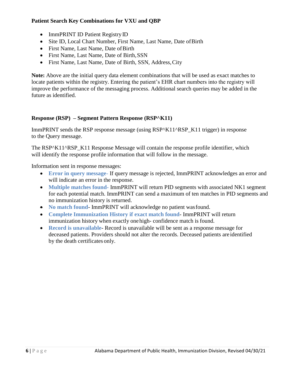# **Patient Search Key Combinations for VXU and QBP**

- ImmPRINT ID Patient Registry ID
- Site ID, Local Chart Number, First Name, Last Name, Date of Birth
- First Name, Last Name, Date of Birth
- First Name, Last Name, Date of Birth, SSN
- First Name, Last Name, Date of Birth, SSN, Address, City

**Note:** Above are the initial query data element combinations that will be used as exact matches to locate patients within the registry. Entering the patient's EHR chart numbers into the registry will improve the performance of the messaging process. Additional search queries may be added in the future as identified.

# **Response (RSP) – Segment Pattern Response (RSP^K11)**

ImmPRINT sends the RSP response message (using RSP^K11^RSP\_K11 trigger) in response to the Query message.

The RSP^K11^RSP\_K11 Response Message will contain the response profile identifier, which will identify the response profile information that will follow in the message.

Information sent in response messages:

- **Error in query message** If query message is rejected, ImmPRINT acknowledges an error and will indicate an error in the response.
- **Multiple matches found-** ImmPRINT will return PID segments with associated NK1 segment for each potential match. ImmPRINT can send a maximum of ten matches in PID segments and no immunization history is returned.
- **No match found** ImmPRINT will acknowledge no patient wasfound.
- **Complete Immunization History if exact match found** ImmPRINT will return immunization history when exactly onehigh- confidence match is found.
- **Record is unavailable** Record is unavailable will be sent as a response message for deceased patients. Providers should not alter the records. Deceased patients are identified by the death certificates only.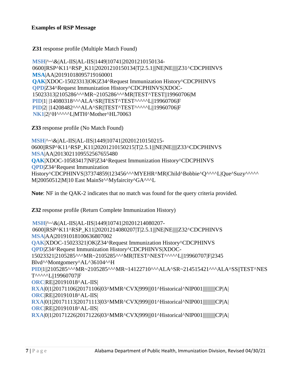**Z31** response profile (Multiple Match Found)

**MSH**|^~\&|AL-IIS|AL-IIS|1449|10741|20201210150134- 0600||RSP^K11^RSP\_K11|20201210150134|T|2.5.1|||NE|NE|||||Z31^CDCPHINVS **MSA**|AA|20191018095719160001 **QAK**|XDOC-15023313|OK|Z34^Request Immunization History^CDCPHINVS **QPD**|Z34^Request Immunization History^CDCPHINVS|XDOC-15023313|2105286^^^MR~2105286^^^MR|TEST^TEST||19960706|M **PID**|1| |14080318^^^ALA^SR||TEST^TEST^^^^^L||19960706|F **PID**|2| |14208482^^^ALA^SR||TEST^TEST^^^^^L||19960706|F **NK1**|2|^H^^^^^L|MTH^Mother^HL70063

**Z33** response profile (No Match Found)

**MSH|**^~\&|AL-IIS|AL-IIS|1449|10741|20201210150215- 0600||RSP^K11^RSP\_K11|20201210150215|T|2.5.1|||NE|NE|||||Z33^CDCPHINVS **MSA**|AA|2013021109552567655480 **QAK**|XDOC-10583417|NF|Z34^Request Immunization History^CDCPHINVS **QPD**|Z34^Request Immunization History^CDCPHINVS|37374859|123456^^^MYEHR^MR|Child^Bobbie^Q^^^^L|Que^Suzy^^^^^ M|20050512|M|10 East MainSt^^Myfaircity^GA^^^L

**Note**: NF in the QAK-2 indicates that no match was found for the query criteria provided.

**Z32** response profile (Return Complete Immunization History)

**MSH**|^~\&|AL-IIS|AL-IIS|1449|10741|20201214080207- 0600||RSP^K11^RSP\_K11|20201214080207|T|2.5.1|||NE|NE|||||Z32^CDCPHINVS **MSA**|AA|20191018100636807002 **QAK**|XDOC-15023321|OK|Z34^Request Immunization History^CDCPHINVS **QPD**|Z34^Request Immunization History^CDCPHINVS|XDOC-15023321|2105285^^^MR~2105285^^^MR|TEST^NEST^^^^^L||19960707|F|2345 Blvd^^Montgomery^AL^36104^^H **PID**|1||2105285^^^MR~2105285^^^MR~14122710^^^ALA^SR~214515421^^^ALA^SS||TEST^NES T^^^^^L||19960707|F **ORC**|RE||20191018^AL-IIS| **RXA**|0|1|20171106|20171106|03^MMR^CVX|999|||01^Historical^NIP001|||||||||||CP|A| **ORC**|RE||20191018^AL-IIS| **RXA**|0|1|20171113|20171113|03^MMR^CVX|999|||01^Historical^NIP001|||||||||||CP|A| **ORC**|RE||20191018^AL-IIS| **RXA**|0|1|20171226|20171226|03^MMR^CVX|999|||01^Historical^NIP001|||||||||||CP|A|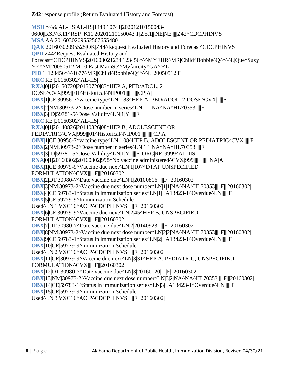**Z42** response profile (Return Evaluated History and Forecast):

**MSH**|^~\&|AL-IIS|AL-IIS|1449|10741|20201210150043- 0600||RSP^K11^RSP\_K11|20201210150043|T|2.5.1|||NE|NE|||||Z42^CDCPHINVS **MSA**|AA|2016030209552567655480 **QAK**|20160302095525|OK|Z44^Request Evaluated History and Forecast^CDCPHINVS **QPD**|Z44^Request Evaluated History and Forecast^CDCPHINVS|201603021234|123456^^^MYEHR^MR|Child^Bobbie^Q^^^^L|Que^Suzy ^^^^^M|20050512|M|10 East MainSt^^Myfaircity^GA^^^L **PID**|1||123456^^^1677^MR||Child^Bobbie^Q^^^^L||20050512|F **ORC**|RE||20160302^AL-IIS| **RXA**|0|1|20150720|20150720|83^HEP A, PED/ADOL, 2 DOSE^CVX|999|||01^Historical^NIP001||||||||||||CP|A| **OBX**|1|CE|30956-7^vaccine type^LN|1|83^HEP A, PED/ADOL, 2 DOSE^CVX||||||F| **OBX**|2|NM|30973-2^Dose number in series^LN|1|1|NA^NA^HL70353|||||F| **OBX**|3|ID|59781-5^Dose Validity^LN|1|Y||||||F| **ORC**|RE||20160302^AL-IIS| **RXA**|0|1|20140826|20140826|08^HEP B, ADOLESCENT OR PEDIATRIC^CVX|999|||01^Historical^NIP001||||||||||||CP|A|| **OBX**|1|CE|30956-7^vaccine type^LN|1|08^HEP B, ADOLESCENT OR PEDIATRIC^CVX||||||F| **OBX**|2|NM|30973-2^Dose number in series^LN|1|1|NA^NA^HL70353|||||F| **OBX**|3|ID|59781-5^Dose Validity^LN|1|Y||||||F| ORC|RE||9999^AL-IIS| **RXA**|0|1|20160302|20160302|998^No vaccine administered^CVX|999||||||||||||||NA|A| **OBX**|1|CE|30979-9^Vaccine due next^LN|1|107^DTAP UNSPECIFIED FORMULATION^CVX||||||F|||20160302| **OBX**|2|DT|30980-7^Date vaccine due^LN|1|20100816||||||F|||20160302| **OBX**|3|NM|30973-2^Vaccine due next dose number^LN|1|1|NA^NA^HL70353|||||F|||20160302| **OBX**|4|CE|59783-1^Status in immunization series^LN|1|LA13423-1^Overdue^LN||||||F| **OBX**|5|CE|59779-9^Immunization Schedule Used^LN|1|VXC16^ACIP^CDCPHINVS||||||F|||20160302| **OBX**|6|CE|30979-9^Vaccine due next^LN|2|45^HEP B, UNSPECIFIED FORMULATION^CVX||||||F|||20160302| **OBX**|7|DT|30980-7^Date vaccine due^LN|2|20140923||||||F|||20160302| **OBX**|8|NM|30973-2^Vaccine due next dose number^LN|2|2|NA^NA^HL70353|||||F|||20160302| **OBX**|9|CE|59783-1^Status in immunization series^LN|2|LA13423-1^Overdue^LN||||||F| **OBX**|10|CE|59779-9^Immunization Schedule Used^LN|2|VXC16^ACIP^CDCPHINVS||||||F|||20160302| **OBX**|11|CE|30979-9^Vaccine due next^LN|3|31^HEP A, PEDIATRIC, UNSPECIFIED FORMULATION^CVX|||||F|||20160302| **OBX**|12|DT|30980-7^Date vaccine due^LN|3|20160120||||||F|||20160302| **OBX**|13|NM|30973-2^Vaccine due next dose number^LN|3|2|NA^NA^HL70353|||||F|||20160302| **OBX**|14|CE|59783-1^Status in immunization series^LN|3|LA13423-1^Overdue^LN||||||F| **OBX**|15|CE|59779-9^Immunization Schedule Used^LN|3|VXC16^ACIP^CDCPHINVS||||||F|||20160302|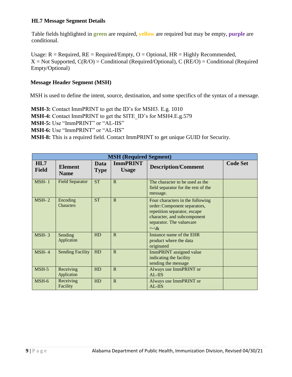#### **HL7 Message Segment Details**

Table fields highlighted in **green** are required, **yellow** are required but may be empty, **purple** are conditional.

Usage:  $R = Required$ ,  $RE = Required/Empty$ ,  $O = Optional$ ,  $HR = Highly$  Recommended,  $X = Not$  Supported,  $C(R/O) = Conditional$  (Required/Optional),  $C$  (RE/O) = Conditional (Required Empty/Optional)

#### **Message Header Segment (MSH)**

MSH is used to define the intent, source, destination, and some specifics of the syntax of a message.

**MSH-3:** Contact ImmPRINT to get the ID's for MSH3. E.g. 1010 **MSH-4:** Contact ImmPRINT to get the SITE ID's for MSH4.E.g.579 **MSH-5:** Use "ImmPRINT" or "AL-IIS" **MSH-6:** Use "ImmPRINT" or "AL-IIS" **MSH-8:** This is a required field. Contact ImmPRINT to get unique GUID for Security.

| <b>MSH (Required Segment)</b> |                               |                     |                                 |                                                                                                                                                                                          |                 |
|-------------------------------|-------------------------------|---------------------|---------------------------------|------------------------------------------------------------------------------------------------------------------------------------------------------------------------------------------|-----------------|
| HL7<br><b>Field</b>           | <b>Element</b><br><b>Name</b> | Data<br><b>Type</b> | <b>ImmPRINT</b><br><b>Usage</b> | <b>Description/Comment</b>                                                                                                                                                               | <b>Code Set</b> |
| $MSH-1$                       | <b>Field Separator</b>        | <b>ST</b>           | $\mathbf{R}$                    | The character to be used as the<br>field separator for the rest of the<br>message.                                                                                                       |                 |
| $MSH-2$                       | Encoding<br><b>Characters</b> | <b>ST</b>           | $\mathbf{R}$                    | Four characters in the following<br>order: Component separators,<br>repetition separator, escape<br>character, and subcomponent<br>separator. The values are<br>$\lambda \sim \lambda x$ |                 |
| $MSH-3$                       | Sending<br>Application        | HD                  | $\mathbf R$                     | Instance name of the EHR<br>product where the data<br>originated                                                                                                                         |                 |
| $MSH-4$                       | <b>Sending Facility</b>       | HD                  | $\mathbf R$                     | <b>ImmPRINT</b> assigned value<br>indicating the facility<br>sending the message                                                                                                         |                 |
| $MSH-5$                       | Receiving<br>Application      | HD                  | $\mathbf R$                     | Always use ImmPRINT or<br>$AI$ -IIS                                                                                                                                                      |                 |
| MSH-6                         | Receiving<br>Facility         | HD                  | $\mathbf R$                     | Always use ImmPRINT or<br>$AL$ -IIS                                                                                                                                                      |                 |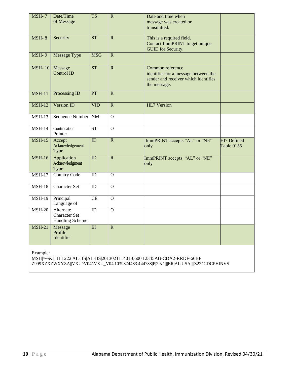| <b>MSH-7</b>  | Date/Time<br>of Message                                     | <b>TS</b>              | $\mathsf{R}$   | Date and time when<br>message was created or<br>transmitted.                                                     |                         |
|---------------|-------------------------------------------------------------|------------------------|----------------|------------------------------------------------------------------------------------------------------------------|-------------------------|
| $MSH-8$       | Security                                                    | ST                     | $\overline{R}$ | This is a required field.<br>Contact ImmPRINT to get unique<br>GUID for Security.                                |                         |
| <b>MSH-9</b>  | <b>Message Type</b>                                         | <b>MSG</b>             | $\overline{R}$ |                                                                                                                  |                         |
| <b>MSH-10</b> | Message<br><b>Control ID</b>                                | ST                     | $\overline{R}$ | Common reference<br>identifier for a message between the<br>sender and receiver which identifies<br>the message. |                         |
| $MSH-11$      | Processing ID                                               | PT                     | $\overline{R}$ |                                                                                                                  |                         |
| <b>MSH-12</b> | <b>Version ID</b>                                           | <b>VID</b>             | $\overline{R}$ | <b>HL7</b> Version                                                                                               |                         |
| <b>MSH-13</b> | <b>Sequence Number</b>                                      | $\overline{\text{NM}}$ | $\overline{0}$ |                                                                                                                  |                         |
| $MSH-14$      | Continuation<br>Pointer                                     | ST                     | $\overline{0}$ |                                                                                                                  |                         |
| $MSH-15$      | Accept                                                      | $\overline{ID}$        | $\overline{R}$ | ImmPRINT accepts "AL" or "NE"                                                                                    | H <sub>17</sub> Defined |
|               | Acknowledgement<br>Type                                     |                        |                | only                                                                                                             | Table 0155              |
| <b>MSH-16</b> | Application<br>Acknowledgment<br>Type                       | ID                     | $\overline{R}$ | ImmPRINT accepts "AL" or "NE"<br>only                                                                            |                         |
| <b>MSH-17</b> | <b>Country Code</b>                                         | ID                     | $\Omega$       |                                                                                                                  |                         |
| $MSH-18$      | <b>Character Set</b>                                        | $\overline{ID}$        | $\overline{0}$ |                                                                                                                  |                         |
| <b>MSH-19</b> | Principal<br>Language of                                    | CE                     | $\overline{O}$ |                                                                                                                  |                         |
| $MSH-20$      | Alternate<br><b>Character Set</b><br><b>Handling Scheme</b> | $\overline{ID}$        | $\overline{0}$ |                                                                                                                  |                         |
| <b>MSH-21</b> | Message<br>Profile<br>Identifier                            | EI                     | $\overline{R}$ |                                                                                                                  |                         |

Z999XZXZWXYZA||VXU^V04^VXU\_V04|1039874483.444788|P|2.5.1|||ER|AL|USA||||Z22^CDCPHINVS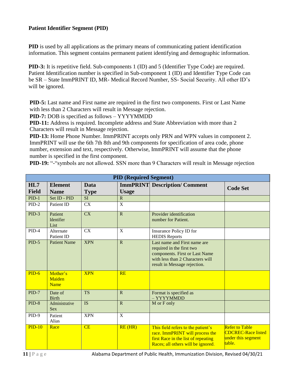#### **Patient Identifier Segment (PID)**

**PID** is used by all applications as the primary means of communicating patient identification information. This segment contains permanent patient identifying and demographic information.

**PID-3:** It is repetitive field. Sub-components 1 (ID) and 5 (Identifier Type Code) are required. Patient Identification number is specified in Sub-component 1 (ID) and Identifier Type Code can be SR – State ImmPRINT ID, MR- Medical Record Number, SS- Social Security. All other ID's will be ignored.

**PID-5:** Last name and First name are required in the first two components. First or Last Name with less than 2 Characters will result in Message rejection.

**PID-7:** DOB is specified as follows – YYYYMMDD

**PID-11:** Address is required. Incomplete address and State Abbreviation with more than 2 Characters will result in Message rejection.

**PID-13:** Home Phone Number. ImmPRINT accepts only PRN and WPN values in component 2. ImmPRINT will use the 6th 7th 8th and 9th components for specification of area code, phone number, extension and text, respectively. Otherwise, ImmPRINT will assume that the phone number is specified in the first component.

**PID-19:** "-"symbols are not allowed. SSN more than 9 Characters will result in Message rejection

| <b>PID (Required Segment)</b> |                                      |                     |                                 |                                                                                                                                                                 |                                                                                    |
|-------------------------------|--------------------------------------|---------------------|---------------------------------|-----------------------------------------------------------------------------------------------------------------------------------------------------------------|------------------------------------------------------------------------------------|
| HL7<br><b>Field</b>           | <b>Element</b><br><b>Name</b>        | Data<br><b>Type</b> | <b>ImmPRINT</b><br><b>Usage</b> | <b>Description/Comment</b>                                                                                                                                      | <b>Code Set</b>                                                                    |
| $PID-1$                       | Set ID - PID                         | <b>SI</b>           | $\mathbf R$                     |                                                                                                                                                                 |                                                                                    |
| $PID-2$                       | Patient ID                           | <b>CX</b>           | X                               |                                                                                                                                                                 |                                                                                    |
| $PID-3$                       | Patient<br><b>Identifier</b><br>List | <b>CX</b>           | $\mathbf R$                     | Provider identification<br>number for Patient.                                                                                                                  |                                                                                    |
| $PID-4$                       | Alternate<br>Patient ID              | <b>CX</b>           | X                               | Insurance Policy ID for<br><b>HEDIS Reports</b>                                                                                                                 |                                                                                    |
| $PID-5$                       | <b>Patient Name</b>                  | <b>XPN</b>          | $\mathbf R$                     | Last name and First name are<br>required in the first two<br>components. First or Last Name<br>with less than 2 Characters will<br>result in Message rejection. |                                                                                    |
| $PID-6$                       | Mother's<br>Maiden<br><b>Name</b>    | <b>XPN</b>          | <b>RE</b>                       |                                                                                                                                                                 |                                                                                    |
| $PID-7$                       | Date of<br><b>Birth</b>              | <b>TS</b>           | $\mathbf{R}$                    | Format is specified as<br>- YYYYMMDD                                                                                                                            |                                                                                    |
| $PID-8$                       | Administrative<br>Sex                | <b>IS</b>           | $\mathbf R$                     | M or F only                                                                                                                                                     |                                                                                    |
| PID-9                         | Patient<br>Alias                     | <b>XPN</b>          | X                               |                                                                                                                                                                 |                                                                                    |
| $PID-10$                      | Race                                 | CE                  | $RE$ ( $HR$ )                   | This field refers to the patient's<br>race. ImmPRINT will process the<br>first Race in the list of repeating<br>Races; all others will be ignored.              | <b>Refer to Table</b><br><b>CDCREC-Race listed</b><br>under this segment<br>table. |

**11 |** P a g e Alabama Department of Public Health, Immunization Division, Revised 04/30/21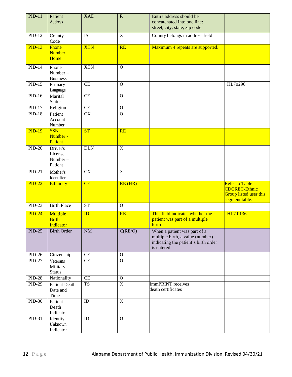| $PID-11$      | Patient<br><b>Address</b>                 | <b>XAD</b>             | $\mathbf R$    | Entire address should be<br>concatenated into one line:<br>street, city, state, zip code.                               |                                                                                           |
|---------------|-------------------------------------------|------------------------|----------------|-------------------------------------------------------------------------------------------------------------------------|-------------------------------------------------------------------------------------------|
| <b>PID-12</b> | County<br>Code                            | <b>IS</b>              | $\mathbf X$    | County belongs in address field                                                                                         |                                                                                           |
| $PID-13$      | Phone<br>$Number-$<br>Home                | <b>XTN</b>             | RE             | Maximum 4 repeats are supported.                                                                                        |                                                                                           |
| $PID-14$      | Phone<br>Number $-$<br><b>Business</b>    | <b>XTN</b>             | $\Omega$       |                                                                                                                         |                                                                                           |
| $PID-15$      | Primary<br>Language                       | CE                     | $\mathbf{O}$   |                                                                                                                         | HL70296                                                                                   |
| $PID-16$      | Marital<br><b>Status</b>                  | $\overline{\text{CE}}$ | $\mathbf{O}$   |                                                                                                                         |                                                                                           |
| $PID-17$      | Religion                                  | CE                     | $\overline{O}$ |                                                                                                                         |                                                                                           |
| $PID-18$      | Patient<br>Account<br>Number              | $\overline{\text{CX}}$ | $\mathbf{O}$   |                                                                                                                         |                                                                                           |
| $PID-19$      | <b>SSN</b><br>Number -<br>Patient         | ST                     | RE             |                                                                                                                         |                                                                                           |
| $PID-20$      | Driver's<br>License<br>Number-<br>Patient | <b>DLN</b>             | $\overline{X}$ |                                                                                                                         |                                                                                           |
| $PID-21$      | Mother's<br>Identifier                    | $\overline{\text{CX}}$ | $\overline{X}$ |                                                                                                                         |                                                                                           |
| $PID-22$      | Ethnicity                                 | CE                     | RE(HR)         |                                                                                                                         | <b>Refer to Table</b><br><b>CDCREC-Ethnic</b><br>Group listed user this<br>segment table. |
| $PID-23$      | <b>Birth Place</b>                        | ST                     | $\overline{O}$ |                                                                                                                         |                                                                                           |
| $PID-24$      | Multiple<br><b>Birth</b><br>Indicator     | $\overline{ID}$        | RE             | This field indicates whether the<br>patient was part of a multiple<br>birth                                             | HL7 0136                                                                                  |
| $PID-25$      | <b>Birth Order</b>                        | $\mathbf{NM}$          | C(RE/O)        | When a patient was part of a<br>multiple birth, a value (number)<br>indicating the patient's birth order<br>is entered. |                                                                                           |
| $PID-26$      | Citizenship                               | CE                     | $\Omega$       |                                                                                                                         |                                                                                           |
| <b>PID-27</b> | Veterans<br>Military<br><b>Status</b>     | CE                     | $\mathbf{O}$   |                                                                                                                         |                                                                                           |
| $PID-28$      | Nationality                               | CE                     | $\mathbf{O}$   |                                                                                                                         |                                                                                           |
| PID-29        | <b>Patient Death</b><br>Date and<br>Time  | ${\rm TS}$             | $\overline{X}$ | <b>ImmPRINT</b> receives<br>death certificates                                                                          |                                                                                           |
| <b>PID-30</b> | Patient<br>Death<br>Indicator             | ID                     | $\overline{X}$ |                                                                                                                         |                                                                                           |
| PID-31        | Identity<br>Unknown<br>Indicator          | ID                     | $\Omega$       |                                                                                                                         |                                                                                           |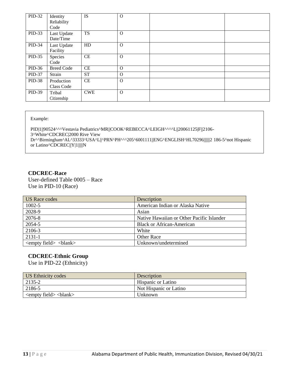| PID-32        | Identity<br>Reliability<br>Code | IS         | $\Omega$ |  |
|---------------|---------------------------------|------------|----------|--|
| $PID-33$      | Last Update<br>Date/Time        | <b>TS</b>  | $\Omega$ |  |
| PID-34        | Last Update<br>Facility         | HD         | $\Omega$ |  |
| $PID-35$      | Species<br>Code                 | CE         | $\Omega$ |  |
| $PID-36$      | <b>Breed Code</b>               | <b>CE</b>  | $\Omega$ |  |
| PID-37        | Strain                          | ST         | $\Omega$ |  |
| <b>PID-38</b> | Production<br>Class Code        | CE         | $\Omega$ |  |
| PID-39        | Tribal<br>Citizenship           | <b>CWE</b> | $\Omega$ |  |

Example:

PID|1||90524^^^Vestavia Pediatrics^MR||COOK^REBECCA^LEIGH^^^^L||20061125|F||2106-3^White^CDCREC|2000 Rive View Dr^^Birmingham^AL^33333^USA^L||^PRN^PH^^^205^6001111||ENG^ENGLISH^HL70296|||||||2 186-5^not Hispanic or Latino^CDCREC||Y|1|||||N

#### **CDCREC-Race**

User-defined Table 0005 – Race Use in PID-10 (Race)

| <b>US</b> Race codes                    | Description                               |
|-----------------------------------------|-------------------------------------------|
| $1002 - 5$                              | American Indian or Alaska Native          |
| 2028-9                                  | Asian                                     |
| 2076-8                                  | Native Hawaiian or Other Pacific Islander |
| 2054-5                                  | <b>Black or African-American</b>          |
| 2106-3                                  | White                                     |
| $2131 - 1$                              | <b>Other Race</b>                         |
| <empty field=""> <br/>blank&gt;</empty> | Unknown/undetermined                      |

#### **CDCREC-Ethnic Group**

Use in PID-22 (Ethnicity)

| US Ethnicity codes                            | Description            |
|-----------------------------------------------|------------------------|
| $ 2135-2 $                                    | Hispanic or Latino     |
| 2186-5                                        | Not Hispanic or Latino |
| $\leq$ empty field $\geq$ $\leq$ blank $\geq$ | Unknown                |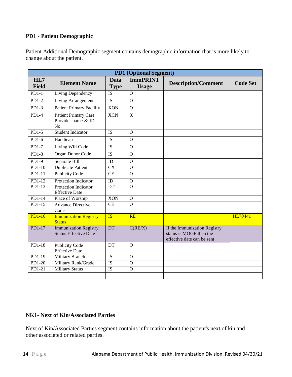# **PD1 - Patient Demographic**

Patient Additional Demographic segment contains demographic information that is more likely to change about the patient.

| <b>PD1 (Optional Segment)</b> |                                                              |                     |                                 |                                                                                       |                 |  |
|-------------------------------|--------------------------------------------------------------|---------------------|---------------------------------|---------------------------------------------------------------------------------------|-----------------|--|
| HL7<br><b>Field</b>           | <b>Element Name</b>                                          | Data<br><b>Type</b> | <b>ImmPRINT</b><br><b>Usage</b> | <b>Description/Comment</b>                                                            | <b>Code Set</b> |  |
| $PD1-1$                       | Living Dependency                                            | <b>IS</b>           | $\Omega$                        |                                                                                       |                 |  |
| $PD1-2$                       | Living Arrangement                                           | <b>IS</b>           | $\overline{O}$                  |                                                                                       |                 |  |
| $PD1-3$                       | <b>Patient Primary Facility</b>                              | <b>XON</b>          | $\mathbf{O}$                    |                                                                                       |                 |  |
| $PD1-4$                       | <b>Patient Primary Care</b><br>Provider name & ID<br>No.     | <b>XCN</b>          | $\overline{X}$                  |                                                                                       |                 |  |
| $PD1-5$                       | <b>Student Indicator</b>                                     | <b>IS</b>           | $\overline{O}$                  |                                                                                       |                 |  |
| $PD1-6$                       | Handicap                                                     | <b>IS</b>           | $\mathbf{O}$                    |                                                                                       |                 |  |
| $PD1-7$                       | Living Will Code                                             | $\overline{IS}$     | $\overline{O}$                  |                                                                                       |                 |  |
| $PD1-8$                       | Organ Donor Code                                             | <b>IS</b>           | $\overline{O}$                  |                                                                                       |                 |  |
| PD1-9                         | Separate Bill                                                | ID                  | $\overline{O}$                  |                                                                                       |                 |  |
| $PD1-10$                      | <b>Duplicate Patient</b>                                     | <b>CX</b>           | $\overline{O}$                  |                                                                                       |                 |  |
| PD1-11                        | <b>Publicity Code</b>                                        | <b>CE</b>           | $\overline{O}$                  |                                                                                       |                 |  |
| $PD1-12$                      | <b>Protection Indicator</b>                                  | ID                  | $\overline{O}$                  |                                                                                       |                 |  |
| $PD1-13$                      | <b>Protection Indicator</b><br><b>Effective Date</b>         | DT                  | $\overline{0}$                  |                                                                                       |                 |  |
| $PD1-14$                      | Place of Worship                                             | <b>XON</b>          | $\overline{0}$                  |                                                                                       |                 |  |
| $PD1-15$                      | <b>Advance Directive</b><br>Code                             | <b>CE</b>           | $\overline{0}$                  |                                                                                       |                 |  |
| $PD1-16$                      | <b>Immunization Registry</b><br><b>Status</b>                | <b>IS</b>           | RE                              |                                                                                       | <b>HL70441</b>  |  |
| PD1-17                        | <b>Immunization Registry</b><br><b>Status Effective Date</b> | DT                  | C(RE/X)                         | If the Immunization Registry<br>status is MOGE then the<br>effective date can be sent |                 |  |
| PD1-18                        | <b>Publicity Code</b><br><b>Effective Date</b>               | DT                  | $\overline{O}$                  |                                                                                       |                 |  |
| $PD1-19$                      | Military Branch                                              | <b>IS</b>           | $\Omega$                        |                                                                                       |                 |  |
| PD1-20                        | Military Rank/Grade                                          | <b>IS</b>           | $\overline{O}$                  |                                                                                       |                 |  |
| PD1-21                        | <b>Military Status</b>                                       | $\overline{IS}$     | $\overline{0}$                  |                                                                                       |                 |  |
|                               |                                                              |                     |                                 |                                                                                       |                 |  |

# **NK1- Next of Kin/Associated Parties**

Next of Kin/Associated Parties segment contains information about the patient's next of kin and other associated or related parties.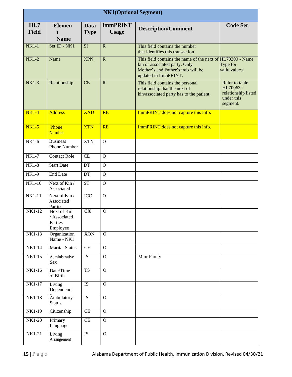| <b>NK1(Optional Segment)</b> |                                                    |                            |                                 |                                                                                                                                                           |                                                                              |  |
|------------------------------|----------------------------------------------------|----------------------------|---------------------------------|-----------------------------------------------------------------------------------------------------------------------------------------------------------|------------------------------------------------------------------------------|--|
| HL7<br><b>Field</b>          | <b>Elemen</b><br>t<br><b>Name</b>                  | <b>Data</b><br><b>Type</b> | <b>ImmPRINT</b><br><b>Usage</b> | <b>Description/Comment</b>                                                                                                                                | <b>Code Set</b>                                                              |  |
| $NK1-1$                      | Set ID - NK1                                       | <b>SI</b>                  | $\mathbf R$                     | This field contains the number<br>that identifies this transaction.                                                                                       |                                                                              |  |
| $NK1-2$                      | Name                                               | <b>XPN</b>                 | $\overline{R}$                  | This field contains the name of the next of HL70200 - Name<br>kin or associated party. Only<br>Mother's and Father's info will be<br>updated in ImmPRINT. | Type for<br>valid values                                                     |  |
| <b>NK1-3</b>                 | Relationship                                       | CE                         | $\mathbb{R}$                    | This field contains the personal<br>relationship that the next of<br>kin/associated party has to the patient.                                             | Refer to table<br>HL70063 -<br>relationship listed<br>under this<br>segment. |  |
| $NK1-4$                      | <b>Address</b>                                     | <b>XAD</b>                 | <b>RE</b>                       | ImmPRINT does not capture this info.                                                                                                                      |                                                                              |  |
| $NK1-5$                      | Phone<br><b>Number</b>                             | <b>XTN</b>                 | RE                              | ImmPRINT does not capture this info.                                                                                                                      |                                                                              |  |
| $NK1-6$                      | <b>Business</b><br>Phone Number                    | <b>XTN</b>                 | $\overline{0}$                  |                                                                                                                                                           |                                                                              |  |
| $NK1-7$                      | <b>Contact Role</b>                                | $\overline{\text{CE}}$     | $\overline{O}$                  |                                                                                                                                                           |                                                                              |  |
| $NK1-8$                      | <b>Start Date</b>                                  | DT                         | $\overline{O}$                  |                                                                                                                                                           |                                                                              |  |
| $NK1-9$                      | <b>End Date</b>                                    | DT                         | $\mathbf{O}$                    |                                                                                                                                                           |                                                                              |  |
| $NK1-10$                     | Next of Kin/<br>Associated                         | ST                         | $\overline{O}$                  |                                                                                                                                                           |                                                                              |  |
| <b>NK1-11</b>                | Next of Kin/<br>Associated<br>Parties              | <b>JCC</b>                 | $\mathbf{O}$                    |                                                                                                                                                           |                                                                              |  |
| $NK1-12$                     | Next of Kin<br>/ Associated<br>Parties<br>Employee | $\overline{\text{CX}}$     | $\mathbf{O}$                    |                                                                                                                                                           |                                                                              |  |
| $NK1-13$                     | Organization<br>Name - NK1                         | <b>XON</b>                 | $\overline{0}$                  |                                                                                                                                                           |                                                                              |  |
| $NK1-14$                     | <b>Marital Status</b>                              | CE                         | $\overline{O}$                  |                                                                                                                                                           |                                                                              |  |
| NK1-15                       | Administrative<br><b>Sex</b>                       | <b>IS</b>                  | $\overline{0}$                  | M or F only                                                                                                                                               |                                                                              |  |
| <b>NK1-16</b>                | Date/Time<br>of Birth                              | <b>TS</b>                  | $\overline{O}$                  |                                                                                                                                                           |                                                                              |  |
| NK1-17                       | Living<br>Dependenc                                | $\overline{IS}$            | $\overline{0}$                  |                                                                                                                                                           |                                                                              |  |
| $NK1-18$                     | Ambulatory<br><b>Status</b>                        | <b>IS</b>                  | $\overline{O}$                  |                                                                                                                                                           |                                                                              |  |
| NK1-19                       | Citizenship                                        | CE                         | $\overline{O}$                  |                                                                                                                                                           |                                                                              |  |
| <b>NK1-20</b>                | Primary<br>Language                                | CE                         | $\overline{0}$                  |                                                                                                                                                           |                                                                              |  |
| <b>NK1-21</b>                | Living<br>Arrangement                              | $\overline{1S}$            | $\overline{0}$                  |                                                                                                                                                           |                                                                              |  |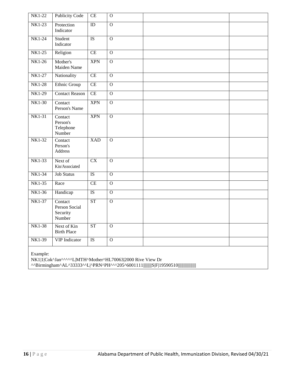| <b>NK1-22</b> | <b>Publicity Code</b>                          | CE                     | $\overline{0}$                                           |  |
|---------------|------------------------------------------------|------------------------|----------------------------------------------------------|--|
| <b>NK1-23</b> | Protection<br>Indicator                        | ID                     | $\overline{0}$                                           |  |
| NK1-24        | Student<br>Indicator                           | <b>IS</b>              | $\overline{0}$                                           |  |
| NK1-25        | Religion                                       | $\rm CE$               | $\mathbf{O}$                                             |  |
| <b>NK1-26</b> | Mother's<br>Maiden Name                        | <b>XPN</b>             | $\overline{0}$                                           |  |
| <b>NK1-27</b> | Nationality                                    | $\rm CE$               | $\overline{0}$                                           |  |
| <b>NK1-28</b> | <b>Ethnic Group</b>                            | CE                     | $\overline{0}$                                           |  |
| <b>NK1-29</b> | <b>Contact Reason</b>                          | CE                     | $\overline{0}$                                           |  |
| <b>NK1-30</b> | Contact<br>Person's Name                       | <b>XPN</b>             | $\mathbf{O}$                                             |  |
| <b>NK1-31</b> | Contact<br>Person's<br>Telephone<br>Number     | <b>XPN</b>             | $\overline{0}$                                           |  |
| NK1-32        | Contact<br>Person's<br>Address                 | <b>XAD</b>             | $\overline{0}$                                           |  |
| NK1-33        | Next of<br>Kin/Associated                      | $\overline{\text{CX}}$ | $\overline{0}$                                           |  |
| NK1-34        | <b>Job Status</b>                              | <b>IS</b>              | $\overline{0}$                                           |  |
| NK1-35        | Race                                           | CE                     | $\overline{0}$                                           |  |
| NK1-36        | Handicap                                       | <b>IS</b>              | $\overline{0}$                                           |  |
| <b>NK1-37</b> | Contact<br>Person Social<br>Security<br>Number | <b>ST</b>              | $\overline{0}$                                           |  |
| NK1-38        | Next of Kin<br><b>Birth Place</b>              | <b>ST</b>              | $\mathbf{0}$                                             |  |
| NK1-39        | <b>VIP</b> Indicator                           | IS                     | $\mathbf{O}$                                             |  |
| Example:      |                                                |                        | NK1 1 Cok^Jan^^^^^L MTH^Mother^HL70063 2000 Rive View Dr |  |

^^Birmingham^AL^33333^^L|^PRN^PH^^^205^6001111|||||||||S|F|19590510|||||||||||||||||||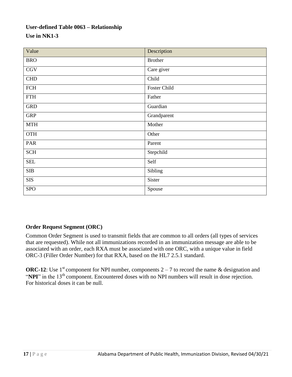# **User-defined Table 0063 – Relationship**

# **Use in NK1-3**

| Value       | Description    |
|-------------|----------------|
| <b>BRO</b>  | <b>Brother</b> |
| CGV         | Care giver     |
| <b>CHD</b>  | Child          |
| ${\rm FCH}$ | Foster Child   |
| <b>FTH</b>  | Father         |
| <b>GRD</b>  | Guardian       |
| <b>GRP</b>  | Grandparent    |
| <b>MTH</b>  | Mother         |
| <b>OTH</b>  | Other          |
| PAR         | Parent         |
| <b>SCH</b>  | Stepchild      |
| <b>SEL</b>  | Self           |
| <b>SIB</b>  | Sibling        |
| <b>SIS</b>  | Sister         |
| <b>SPO</b>  | Spouse         |

# **Order Request Segment (ORC)**

Common Order Segment is used to transmit fields that are common to all orders (all types of services that are requested). While not all immunizations recorded in an immunization message are able to be associated with an order, each RXA must be associated with one ORC, with a unique value in field ORC-3 (Filler Order Number) for that RXA, based on the HL7 2.5.1 standard.

**ORC-12**: Use 1<sup>st</sup> component for NPI number, components  $2 - 7$  to record the name & designation and "**NPI**" in the 13<sup>th</sup> component. Encountered doses with no NPI numbers will result in dose rejection. For historical doses it can be null.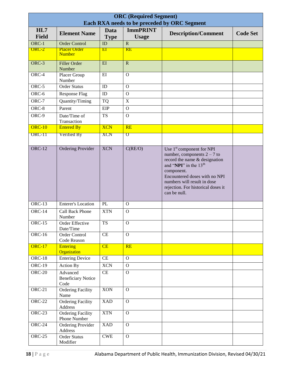| <b>ORC</b> (Required Segment)                |                                               |                     |                                 |                                                                                                                                                                                                                                                                                  |                 |  |  |
|----------------------------------------------|-----------------------------------------------|---------------------|---------------------------------|----------------------------------------------------------------------------------------------------------------------------------------------------------------------------------------------------------------------------------------------------------------------------------|-----------------|--|--|
| Each RXA needs to be preceded by ORC Segment |                                               |                     |                                 |                                                                                                                                                                                                                                                                                  |                 |  |  |
| HL7<br><b>Field</b>                          | <b>Element Name</b>                           | Data<br><b>Type</b> | <b>ImmPRINT</b><br><b>Usage</b> | <b>Description/Comment</b>                                                                                                                                                                                                                                                       | <b>Code Set</b> |  |  |
| ORC-1                                        | <b>Order Control</b>                          | ID                  | $\mathbf{R}$                    |                                                                                                                                                                                                                                                                                  |                 |  |  |
| $ORC-2$                                      | <b>Placer Order</b><br><b>Number</b>          | Ы                   | RE                              |                                                                                                                                                                                                                                                                                  |                 |  |  |
| ORC-3                                        | <b>Filler Order</b><br>Number                 | EI                  | $\mathbf R$                     |                                                                                                                                                                                                                                                                                  |                 |  |  |
| ORC-4                                        | Placer Group<br>Number                        | $E$ I               | $\mathbf{O}$                    |                                                                                                                                                                                                                                                                                  |                 |  |  |
| $ORC-5$                                      | <b>Order Status</b>                           | ID                  | $\mathbf{O}$                    |                                                                                                                                                                                                                                                                                  |                 |  |  |
| ORC-6                                        | <b>Response Flag</b>                          | ID                  | $\overline{O}$                  |                                                                                                                                                                                                                                                                                  |                 |  |  |
| ORC-7                                        | Quantity/Timing                               | <b>TQ</b>           | $\mathbf X$                     |                                                                                                                                                                                                                                                                                  |                 |  |  |
| ORC-8                                        | Parent                                        | EIP                 | $\mathbf{O}$                    |                                                                                                                                                                                                                                                                                  |                 |  |  |
| ORC-9                                        | Date/Time of<br>Transaction                   | <b>TS</b>           | $\Omega$                        |                                                                                                                                                                                                                                                                                  |                 |  |  |
| <b>ORC-10</b>                                | <b>Entered By</b>                             | <b>XCN</b>          | RE                              |                                                                                                                                                                                                                                                                                  |                 |  |  |
| $ORC-11$                                     | Verified By                                   | <b>XCN</b>          | $\sigma$                        |                                                                                                                                                                                                                                                                                  |                 |  |  |
| $ORC-12$                                     | <b>Ordering Provider</b>                      | <b>XCN</b>          | C(RE/O)                         | Use 1 <sup>st</sup> component for NPI<br>number, components $2 - 7$ to<br>record the name & designation<br>and "NPI" in the 13 <sup>th</sup><br>component.<br>Encountered doses with no NPI<br>numbers will result in dose<br>rejection. For historical doses it<br>can be null. |                 |  |  |
| <b>ORC-13</b>                                | <b>Enterer's Location</b>                     | PL                  | $\mathbf{O}$                    |                                                                                                                                                                                                                                                                                  |                 |  |  |
| ORC-14                                       | Call Back Phone<br>Number                     | <b>XTN</b>          | $\Omega$                        |                                                                                                                                                                                                                                                                                  |                 |  |  |
| <b>ORC-15</b>                                | Order Effective<br>Date/Time                  | <b>TS</b>           | $\mathbf{O}$                    |                                                                                                                                                                                                                                                                                  |                 |  |  |
| <b>ORC-16</b>                                | Order Control<br>Code Reason                  | CE                  | $\mathbf{O}$                    |                                                                                                                                                                                                                                                                                  |                 |  |  |
| <b>ORC-17</b>                                | <b>Entering</b><br>Organization               | CE                  | RE                              |                                                                                                                                                                                                                                                                                  |                 |  |  |
| <b>ORC-18</b>                                | <b>Entering Device</b>                        | CE                  | $\mathbf{O}$                    |                                                                                                                                                                                                                                                                                  |                 |  |  |
| <b>ORC-19</b>                                | Action By                                     | <b>XCN</b>          | $\mathbf{O}$                    |                                                                                                                                                                                                                                                                                  |                 |  |  |
| $ORC-20$                                     | Advanced<br><b>Beneficiary Notice</b><br>Code | CE                  | $\mathbf{O}$                    |                                                                                                                                                                                                                                                                                  |                 |  |  |
| $ORC-21$                                     | <b>Ordering Facility</b><br>Name              | <b>XON</b>          | $\mathbf{O}$                    |                                                                                                                                                                                                                                                                                  |                 |  |  |
| <b>ORC-22</b>                                | <b>Ordering Facility</b><br>Address           | <b>XAD</b>          | $\overline{O}$                  |                                                                                                                                                                                                                                                                                  |                 |  |  |
| ORC-23                                       | <b>Ordering Facility</b><br>Phone Number      | <b>XTN</b>          | $\mathbf{O}$                    |                                                                                                                                                                                                                                                                                  |                 |  |  |
| $ORC-24$                                     | <b>Ordering Provider</b><br>Address           | <b>XAD</b>          | $\overline{0}$                  |                                                                                                                                                                                                                                                                                  |                 |  |  |
| $ORC-25$                                     | <b>Order Status</b><br>Modifier               | <b>CWE</b>          | $\overline{0}$                  |                                                                                                                                                                                                                                                                                  |                 |  |  |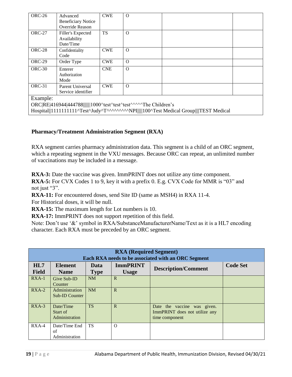| ORC-26   | Advanced<br><b>Beneficiary Notice</b>                             | $\overline{\text{CWE}}$ | $\Omega$ |                                                                                             |  |
|----------|-------------------------------------------------------------------|-------------------------|----------|---------------------------------------------------------------------------------------------|--|
|          | Override Reason                                                   |                         |          |                                                                                             |  |
| $ORC-27$ | Filler's Expected<br>Availability<br>Date/Time                    | <b>TS</b>               | $\Omega$ |                                                                                             |  |
| $ORC-28$ | Confidentiality<br>Code                                           | <b>CWE</b>              | $\Omega$ |                                                                                             |  |
| ORC-29   | Order Type                                                        | <b>CWE</b>              | $\Omega$ |                                                                                             |  |
| ORC-30   | Enterer<br>Authorization<br>Mode                                  | <b>CNE</b>              | $\Omega$ |                                                                                             |  |
| ORC-31   | Parent Universal<br>Service identifier                            | <b>CWE</b>              | $\Omega$ |                                                                                             |  |
| Example: |                                                                   |                         |          |                                                                                             |  |
|          | ORC RE 416944 444788       1000^test^test^test^^^^^The Children's |                         |          |                                                                                             |  |
|          |                                                                   |                         |          | Hospital  1111111111111^Test^Judy^T^^^^^^^^^^NPI     100^Test Medical Group    TEST Medical |  |
|          |                                                                   |                         |          |                                                                                             |  |

# **Pharmacy/Treatment Administration Segment (RXA)**

RXA segment carries pharmacy administration data. This segment is a child of an ORC segment, which a repeating segment in the VXU messages. Because ORC can repeat, an unlimited number of vaccinations may be included in a message.

**RXA-3:** Date the vaccine was given. ImmPRINT does not utilize any time component.

**RXA-5:** For CVX Codes 1 to 9, key it with a prefix 0. E.g. CVX Code for MMR is "03" and not just "3".

**RXA-11:** For encountered doses, send Site ID (same as MSH4) in RXA 11-4.

For Historical doses, it will be null.

**RXA-15:** The maximum length for Lot numbers is 10.

**RXA-17:** ImmPRINT does not support repetition of this field.

Note: Don't use '&' symbol in RXA/SubstanceManufacturerName/Text as it is a HL7 encoding character. Each RXA must be preceded by an ORC segment.

| <b>RXA</b> (Required Segment)<br>Each RXA needs to be associated with an ORC Segment |                                                                         |             |              |                                                                                |                 |  |
|--------------------------------------------------------------------------------------|-------------------------------------------------------------------------|-------------|--------------|--------------------------------------------------------------------------------|-----------------|--|
| HL7<br><b>Field</b>                                                                  | <b>ImmPRINT</b><br><b>Element</b><br>Data<br><b>Description/Comment</b> |             |              |                                                                                | <b>Code Set</b> |  |
|                                                                                      | <b>Name</b>                                                             | <b>Type</b> | <b>Usage</b> |                                                                                |                 |  |
| $RXA-1$                                                                              | Give Sub-ID<br>Counter                                                  | <b>NM</b>   | $\mathbf R$  |                                                                                |                 |  |
| $RXA-2$                                                                              | Administration<br>Sub-ID Counter                                        | <b>NM</b>   | $\mathbf R$  |                                                                                |                 |  |
| $RXA-3$                                                                              | Date/Time<br>Start of<br>Administration                                 | <b>TS</b>   | $\mathbf R$  | Date the vaccine was given.<br>ImmPRINT does not utilize any<br>time component |                 |  |
| $RXA-4$                                                                              | Date/Time End<br>of<br>Administration                                   | <b>TS</b>   | $\Omega$     |                                                                                |                 |  |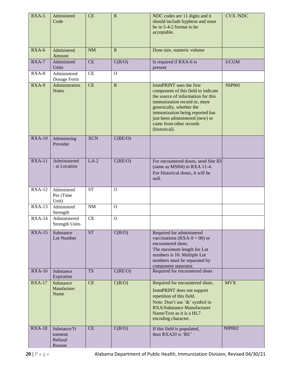| $RXA-5$       | Administered<br>Code                         | CE         | $\mathbf R$         | NDC codes are 11 digits and it<br>should include hyphens and must<br>be in 5-4-2 format to be<br>acceptable.                                                                                                                                                                       | <b>CVX/NDC</b> |
|---------------|----------------------------------------------|------------|---------------------|------------------------------------------------------------------------------------------------------------------------------------------------------------------------------------------------------------------------------------------------------------------------------------|----------------|
| $RXA-6$       | Administered<br>Amount                       | NM         | $\mathbf R$         | Dose size, numeric volume                                                                                                                                                                                                                                                          |                |
| RXA-7         | Administered<br>Units                        | CE         | C(R/O)              | Is required if RXA-6 is<br>present                                                                                                                                                                                                                                                 | <b>UCUM</b>    |
| RXA-8         | Administered<br>Dosage Form                  | CE         | $\mathbf{O}$        |                                                                                                                                                                                                                                                                                    |                |
| RXA-9         | Administration<br><b>Notes</b>               | CE         | $\mathbf R$         | ImmPRINT uses the first<br>component of this field to indicate<br>the source of information for this<br>immunization record or, more<br>generically, whether the<br>immunization being reported has<br>just been administered (new) or<br>came from other records<br>(historical). | <b>NIP001</b>  |
| $RXA-10$      | Administering<br>Provider                    | <b>XCN</b> | C(RE/O)             |                                                                                                                                                                                                                                                                                    |                |
| $RXA-11$      | Administered<br>- at Location                | $LA-2$     | C(RE/O)             | For encountered doses, send Site ID<br>(same as MSH4) in RXA 11-4.<br>For Historical doses, it will be<br>null.                                                                                                                                                                    |                |
| <b>RXA-12</b> | Administered<br>Per (Time<br>Unit)           | <b>ST</b>  | $\overline{O}$      |                                                                                                                                                                                                                                                                                    |                |
| <b>RXA-13</b> | Administered<br>Strength                     | <b>NM</b>  | $\mathbf{O}$        |                                                                                                                                                                                                                                                                                    |                |
| <b>RXA-14</b> | Administered<br><b>Strength Units</b>        | CE         | $\overline{O}$      |                                                                                                                                                                                                                                                                                    |                |
| $RXA-15$      | Substance<br>Lot Number                      | <b>ST</b>  | C(R/O)              | Required for administered<br>vaccinations (RXA-9 = 00) or<br>encountered shots.<br>The maximum length for Lot<br>numbers is 10. Multiple Lot<br>numbers must be separated by<br>component separator.                                                                               |                |
| $RXA-16$      | Substance<br>Expiration                      | <b>TS</b>  | C(RE/O)             | Required for encountered shots                                                                                                                                                                                                                                                     |                |
| <b>RXA-17</b> | Substance<br>Manufacturer<br>Name            | CE         | C(R/O)              | Required for encountered shots.<br>ImmPRINT does not support<br>repetition of this field.<br>Note: Don't use '&' symbol in<br>RXA/Substance Manufacturer<br>Name/Text as it is a HL7<br>encoding character.                                                                        | <b>MVX</b>     |
| <b>RXA-18</b> | Substance/Tr<br>eatment<br>Refusal<br>Reason | CE         | $\overline{C(R/O)}$ | If this field is populated,<br>then RXA20 is 'RE'                                                                                                                                                                                                                                  | <b>NIP002</b>  |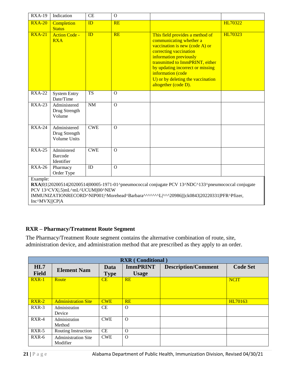| $RXA-19$                                                                                                                                                                                                                                                              | Indication                                           | CE                     | $\Omega$       |                                                                                                                                                                                                                                                                                                           |                |
|-----------------------------------------------------------------------------------------------------------------------------------------------------------------------------------------------------------------------------------------------------------------------|------------------------------------------------------|------------------------|----------------|-----------------------------------------------------------------------------------------------------------------------------------------------------------------------------------------------------------------------------------------------------------------------------------------------------------|----------------|
| <b>RXA-20</b>                                                                                                                                                                                                                                                         | Completion<br><b>Status</b>                          | ID                     | <b>RE</b>      |                                                                                                                                                                                                                                                                                                           | <b>HL70322</b> |
| $RXA-21$                                                                                                                                                                                                                                                              | <b>Action Code -</b><br><b>RXA</b>                   | $\overline{D}$         | RE             | This field provides a method of<br>communicating whether a<br>vaccination is new (code A) or<br>correcting vaccination<br>information previously<br>transmitted to ImmPRINT, either<br>by updating incorrect or missing<br>information (code<br>U) or by deleting the vaccination<br>altogether (code D). | HL70323        |
| <b>RXA-22</b>                                                                                                                                                                                                                                                         | <b>System Entry</b><br>Date/Time                     | <b>TS</b>              | $\Omega$       |                                                                                                                                                                                                                                                                                                           |                |
| <b>RXA-23</b>                                                                                                                                                                                                                                                         | Administered<br>Drug Strength<br>Volume              | $\overline{\text{NM}}$ | $\overline{0}$ |                                                                                                                                                                                                                                                                                                           |                |
| <b>RXA-24</b>                                                                                                                                                                                                                                                         | Administered<br>Drug Strength<br><b>Volume Units</b> | <b>CWE</b>             | $\Omega$       |                                                                                                                                                                                                                                                                                                           |                |
| <b>RXA-25</b>                                                                                                                                                                                                                                                         | Administered<br><b>Barcode</b><br>Identifier         | <b>CWE</b>             | $\overline{O}$ |                                                                                                                                                                                                                                                                                                           |                |
| $RXA-26$                                                                                                                                                                                                                                                              | Pharmacy<br>Order Type                               | $\overline{ID}$        | $\Omega$       |                                                                                                                                                                                                                                                                                                           |                |
| Example:<br>RXA 0 1 20200514 20200514 00005-1971-01^pneumococcal conjugate PCV 13^NDC^133^pneumococcal conjugate<br>PCV 13^CVX .5 mL^mL^UCUM  00^NEW<br>IMMUNIZATIONRECORD^NIP001 ^Morehead^Barbara^^^^^^^L ^^^20986    ck0843 20220331 PFR^Pfizer,<br>Inc^MVX   CP A |                                                      |                        |                |                                                                                                                                                                                                                                                                                                           |                |

# **RXR – Pharmacy/Treatment Route Segment**

The Pharmacy/Treatment Route segment contains the alternative combination of route, site, administration device, and administration method that are prescribed as they apply to an order.

|              | <b>RXR</b> (Conditional)               |             |                 |                            |                 |  |
|--------------|----------------------------------------|-------------|-----------------|----------------------------|-----------------|--|
| HL7          | <b>Element Nam</b>                     | Data        | <b>ImmPRINT</b> | <b>Description/Comment</b> | <b>Code Set</b> |  |
| <b>Field</b> |                                        | <b>Type</b> | <b>Usage</b>    |                            |                 |  |
| $RXR-1$      | Route                                  | CE          | <b>RE</b>       |                            | <b>NCIT</b>     |  |
| $RXR-2$      | <b>Administration Site</b>             | <b>CWE</b>  | <b>RE</b>       |                            | HL70163         |  |
| $RXR-3$      | Administration<br>Device               | <b>CE</b>   | $\Omega$        |                            |                 |  |
| $RXR-4$      | Administration<br>Method               | <b>CWE</b>  | $\Omega$        |                            |                 |  |
| $RXR-5$      | <b>Routing Instruction</b>             | <b>CE</b>   | $\Omega$        |                            |                 |  |
| $RXR-6$      | <b>Administration Site</b><br>Modifier | <b>CWE</b>  | $\Omega$        |                            |                 |  |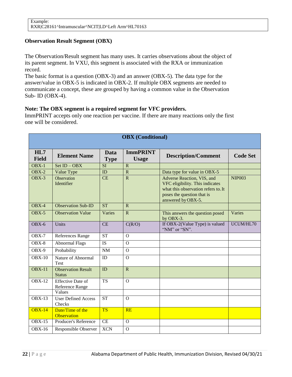#### **Observation Result Segment (OBX)**

The Observation/Result segment has many uses. It carries observations about the object of its parent segment. In VXU, this segment is associated with the RXA or immunization record.

The basic format is a question (OBX-3) and an answer (OBX-5). The data type for the answer/value in OBX-5 is indicated in OBX-2. If multiple OBX segments are needed to communicate a concept, these are grouped by having a common value in the Observation Sub- ID (OBX-4).

#### **Note: The OBX segment is a required segment for VFC providers.**

ImmPRINT accepts only one reaction per vaccine. If there are many reactions only the first one will be considered.

| <b>OBX</b> (Conditional) |                                                    |                        |                                 |                                                                                                                                                          |                 |
|--------------------------|----------------------------------------------------|------------------------|---------------------------------|----------------------------------------------------------------------------------------------------------------------------------------------------------|-----------------|
| HL7<br><b>Field</b>      | <b>Element Name</b>                                | Data<br><b>Type</b>    | <b>ImmPRINT</b><br><b>Usage</b> | <b>Description/Comment</b>                                                                                                                               | <b>Code Set</b> |
| $OBX-1$                  | $Set$ ID $-$ OBX                                   | <b>SI</b>              | $\mathbf R$                     |                                                                                                                                                          |                 |
| $OBX-2$                  | Value Type                                         | ID                     | $\overline{R}$                  | Data type for value in OBX-5                                                                                                                             |                 |
| $OBX-3$                  | Observation<br>Identifier                          | CE                     | $\overline{R}$                  | Adverse Reaction, VIS, and<br>VFC eligibility. This indicates<br>what this observation refers to. It<br>poses the question that is<br>answered by OBX-5. | <b>NIP003</b>   |
| $OBX-4$                  | <b>Observation Sub-ID</b>                          | <b>ST</b>              | $\mathbf R$                     |                                                                                                                                                          |                 |
| $OBX-5$                  | <b>Observation Value</b>                           | Varies                 | $\mathbf R$                     | This answers the question posed<br>by $OBX-3$ .                                                                                                          | Varies          |
| $OBX-6$                  | Units                                              | CE                     | C(R/O)                          | If OBX-2(Value Type) is valued<br>"NM" or "SN".                                                                                                          | UCUM/HL70       |
| $OBX-7$                  | <b>References Range</b>                            | <b>ST</b>              | $\overline{O}$                  |                                                                                                                                                          |                 |
| $OBX-8$                  | <b>Abnormal Flags</b>                              | <b>IS</b>              | $\mathbf{O}$                    |                                                                                                                                                          |                 |
| OBX-9                    | Probability                                        | <b>NM</b>              | $\overline{O}$                  |                                                                                                                                                          |                 |
| $\overline{OBX-10}$      | Nature of Abnormal<br><b>Test</b>                  | ID                     | $\overline{O}$                  |                                                                                                                                                          |                 |
| $OBX-11$                 | <b>Observation Result</b><br><b>Status</b>         | ID                     | $\overline{R}$                  |                                                                                                                                                          |                 |
| $OBX-12$                 | <b>Effective Date of</b><br><b>Reference Range</b> | $\overline{\text{TS}}$ | $\mathbf{O}$                    |                                                                                                                                                          |                 |
|                          | Values                                             |                        |                                 |                                                                                                                                                          |                 |
| $OBX-13$                 | <b>User Defined Access</b><br>Checks               | <b>ST</b>              | $\mathbf{O}$                    |                                                                                                                                                          |                 |
| $OBX-14$                 | Date/Time of the<br><b>Observation</b>             | <b>TS</b>              | RE                              |                                                                                                                                                          |                 |
| $OBX-15$                 | Producer's Reference                               | CE                     | $\mathbf{O}$                    |                                                                                                                                                          |                 |
| $OBX-16$                 | Responsible Observer                               | <b>XCN</b>             | $\overline{O}$                  |                                                                                                                                                          |                 |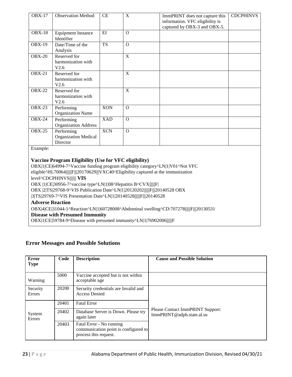| $OBX-17$      | <b>Observation Method</b>   | CE                     | $\overline{X}$ | ImmPRINT does not capture this  | <b>CDCPHINVS</b> |
|---------------|-----------------------------|------------------------|----------------|---------------------------------|------------------|
|               |                             |                        |                |                                 |                  |
|               |                             |                        |                | information. VFC eligibility is |                  |
|               |                             |                        |                | captured by OBX-3 and OBX-5.    |                  |
| $OBX-18$      | <b>Equipment Instance</b>   | $\overline{EI}$        | $\Omega$       |                                 |                  |
|               | Identifier                  |                        |                |                                 |                  |
| <b>OBX-19</b> | Date/Time of the            | $\overline{\text{TS}}$ | $\Omega$       |                                 |                  |
|               | Analysis                    |                        |                |                                 |                  |
| <b>OBX-20</b> | Reserved for                |                        | X              |                                 |                  |
|               | harmonization with          |                        |                |                                 |                  |
|               | V2.6                        |                        |                |                                 |                  |
| <b>OBX-21</b> | Reserved for                |                        | X              |                                 |                  |
|               | harmonization with          |                        |                |                                 |                  |
|               | V2.6                        |                        |                |                                 |                  |
| <b>OBX-22</b> | Reserved for                |                        | X              |                                 |                  |
|               | harmonization with          |                        |                |                                 |                  |
|               | V2.6                        |                        |                |                                 |                  |
| <b>OBX-23</b> | Performing                  | <b>XON</b>             | $\Omega$       |                                 |                  |
|               | <b>Organization Name</b>    |                        |                |                                 |                  |
| <b>OBX-24</b> | Performing                  | <b>XAD</b>             | $\Omega$       |                                 |                  |
|               | <b>Organization Address</b> |                        |                |                                 |                  |
| <b>OBX-25</b> | Performing                  | <b>XCN</b>             | $\Omega$       |                                 |                  |
|               | <b>Organization Medical</b> |                        |                |                                 |                  |
|               | Director                    |                        |                |                                 |                  |
| Example:      |                             |                        |                |                                 |                  |
|               |                             |                        |                |                                 |                  |
|               |                             |                        |                |                                 |                  |

#### **Vaccine Program Eligibility (Use for VFC eligibility)**

OBX|1|CE|64994-7^Vaccine funding program eligibility category^LN|1|V01^Not VFC eligible^HL70064||||||F|||20170629|||VXC40^Eligibility captured at the immunization

level^CDCPHINVS||||||| **VIS**

OBX |1|CE|30956-7^vaccine type^LN|1|08^Hepatitis B^CVX||||||F|

OBX |2|TS|29768-9^VIS Publication Date^LN|1|20120202||||||F|||20140528 OBX

|3|TS|29769-7^VIS Presentation Date^LN|1|20140528||||||F|||20140528

#### **Adverse Reaction**

OBX|4|CE|31044-1^Reaction^LN|1|60728008^Abdominal swelling^CD:707278||||||F|||20130531

#### **Disease with Presumed Immunity**

OBX|1|CE|59784-9^Disease with presumed immunity^LN|1|76902006||||||F

#### **Error Messages and Possible Solutions**

| Error<br><b>Type</b> | Code  | <b>Description</b>                                                                        | <b>Cause and Possible Solution</b>                            |
|----------------------|-------|-------------------------------------------------------------------------------------------|---------------------------------------------------------------|
| Warning              | 5000  | Vaccine accepted but is not within<br>acceptable age                                      |                                                               |
| Security<br>Errors   | 20200 | Security credentials are Invalid and<br><b>Access Denied</b>                              |                                                               |
|                      | 20401 | <b>Fatal Error</b>                                                                        |                                                               |
| System<br>Errors     | 20402 | Database Server is Down. Please try<br>again later                                        | Please Contact ImmPRINT Support:<br>ImmPRINT@adph.state.al.us |
|                      | 20403 | Fatal Error - No running<br>communication point is configured to<br>process this request. |                                                               |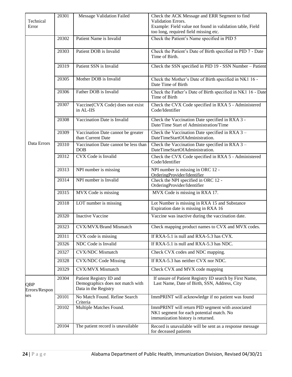| Technical<br>Error   | 20301 | Message Validation Failed                                                           | Check the ACK Message and ERR Segment to find<br>Validation Errors.<br>Example: Field value not found in validation table, Field<br>too long, required field missing etc. |
|----------------------|-------|-------------------------------------------------------------------------------------|---------------------------------------------------------------------------------------------------------------------------------------------------------------------------|
|                      | 20302 | Patient Name is Invalid                                                             | Check the Patient's Name specified in PID 5                                                                                                                               |
|                      | 20303 | Patient DOB is Invalid                                                              | Check the Patient's Date of Birth specified in PID 7 - Date<br>Time of Birth.                                                                                             |
|                      | 20319 | Patient SSN is Invalid                                                              | Check the SSN specified in PID 19 - SSN Number - Patient                                                                                                                  |
|                      | 20305 | Mother DOB is Invalid                                                               | Check the Mother's Date of Birth specified in NK1 16 -<br>Date Time of Birth                                                                                              |
|                      | 20306 | Father DOB is Invalid                                                               | Check the Father's Date of Birth specified in NK1 16 - Date<br>Time of Birth                                                                                              |
|                      | 20307 | Vaccine(CVX Code) does not exist<br>in AL-IIS                                       | Check the CVX Code specified in RXA 5 - Administered<br>Code/Identifier                                                                                                   |
|                      | 20308 | Vaccination Date is Invalid                                                         | Check the Vaccination Date specified in RXA 3 -<br>Date/Time Start of Administration/Time                                                                                 |
|                      | 20309 | Vaccination Date cannot be greater<br>than Current Date                             | Check the Vaccination Date specified in RXA 3 -<br>DateTimeStartOfAdministration.                                                                                         |
| Data Errors          | 20310 | Vaccination Date cannot be less than<br><b>DOB</b>                                  | Check the Vaccination Date specified in RXA 3 -<br>DateTimeStartOfAdministration.                                                                                         |
|                      | 20312 | CVX Code is Invalid                                                                 | Check the CVX Code specified in RXA 5 - Administered<br>Code/Identifier                                                                                                   |
|                      | 20313 | NPI number is missing                                                               | NPI number is missing in ORC 12 -<br>OrderingProvider/Identifier                                                                                                          |
|                      | 20314 | NPI number is Invalid                                                               | Check the NPI specified in ORC 12 -<br>OrderingProvider/Identifier                                                                                                        |
|                      | 20315 | MVX Code is missing                                                                 | MVX Code is missing in RXA 17.                                                                                                                                            |
|                      | 20318 | LOT number is missing                                                               | Lot Number is missing in RXA 15 and Substance<br>Expiration date is missing in RXA 16                                                                                     |
|                      | 20320 | <b>Inactive Vaccine</b>                                                             | Vaccine was inactive during the vaccination date.                                                                                                                         |
|                      |       | 20323 CVX/MVX/Brand Mismatch                                                        | Check mapping product names to CVX and MVX codes.                                                                                                                         |
|                      | 20311 | CVX code is missing                                                                 | If RXA-5.1 is null and RXA-5.3 has CVX.                                                                                                                                   |
|                      | 20326 | NDC Code is Invalid                                                                 | If RXA-5.1 is null and RXA-5.3 has NDC.                                                                                                                                   |
|                      | 20327 | <b>CVX/NDC</b> Mismatch                                                             | Check CVX codes and NDC mapping.                                                                                                                                          |
|                      | 20328 | <b>CVX/NDC Code Missing</b>                                                         | If RXA-5.3 has neither CVX nor NDC.                                                                                                                                       |
|                      | 20329 | <b>CVX/MVX Mismatch</b>                                                             | Check CVX and MVX code mapping                                                                                                                                            |
| QBP<br>Errors/Respon | 20304 | Patient Registry ID and<br>Demographics does not match with<br>Data in the Registry | If unsure of Patient Registry ID search by First Name,<br>Last Name, Date of Birth, SSN, Address, City                                                                    |
| ses                  | 20101 | No Match Found. Refine Search<br>Criteria                                           | ImmPRINT will acknowledge if no patient was found                                                                                                                         |
|                      | 20102 | Multiple Matches Found.                                                             | ImmPRINT will return PID segment with associated<br>NK1 segment for each potential match. No<br>immunization history is returned.                                         |
|                      | 20104 | The patient record is unavailable                                                   | Record is unavailable will be sent as a response message<br>for deceased patients                                                                                         |